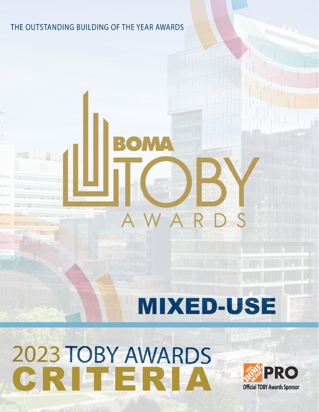## THE OUTSTANDING BUILDING OF THE YEAR AWARDS

BO MI

 $\mathsf{A}$ 

# **MIXED-USE**

WAR

# 2023 TOBY AWARDS<br>CRITERIA

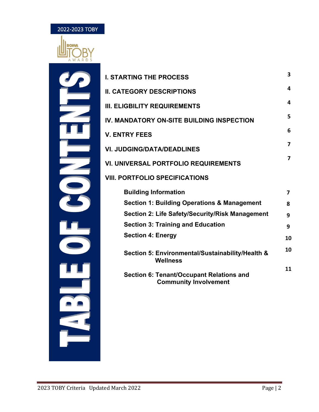

 $\equiv$ 

**UB**<br>--

щ

<u>e e</u>

 $\blacksquare$ 

| <b>I. STARTING THE PROCESS</b>                                                  | 3                       |
|---------------------------------------------------------------------------------|-------------------------|
| <b>II. CATEGORY DESCRIPTIONS</b>                                                | 4                       |
| <b>III. ELIGBILITY REQUIREMENTS</b>                                             | 4                       |
| IV. MANDATORY ON-SITE BUILDING INSPECTION                                       | 5                       |
| <b>V. ENTRY FEES</b>                                                            | 6                       |
| <b>VI. JUDGING/DATA/DEADLINES</b>                                               | $\overline{\mathbf{z}}$ |
| <b>VI. UNIVERSAL PORTFOLIO REQUIREMENTS</b>                                     | 7                       |
| <b>VIII. PORTFOLIO SPECIFICATIONS</b>                                           |                         |
| <b>Building Information</b>                                                     | 7                       |
| <b>Section 1: Building Operations &amp; Management</b>                          | 8                       |
| Section 2: Life Safety/Security/Risk Management                                 | 9                       |
| <b>Section 3: Training and Education</b>                                        | 9                       |
| <b>Section 4: Energy</b>                                                        | 10                      |
| Section 5: Environmental/Sustainability/Health &<br><b>Wellness</b>             | 10                      |
| <b>Section 6: Tenant/Occupant Relations and</b><br><b>Community Involvement</b> | 11                      |
|                                                                                 |                         |
|                                                                                 |                         |
|                                                                                 |                         |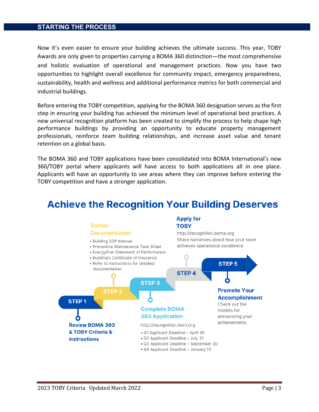### **STARTING THE PROCESS**

Now it's even easier to ensure your building achieves the ultimate success. This year, TOBY Awards are only given to properties carrying a BOMA 360 distinction—the most comprehensive and holistic evaluation of operational and management practices. Now you have two opportunities to highlight overall excellence for community impact, emergency preparedness, sustainability, health and wellness and additional performance metrics for both commercial and industrial buildings.

Before entering the TOBY competition, applying for the BOMA 360 designation serves as the first step in ensuring your building has achieved the minimum level of operational best practices. A new universal recognition platform has been created to simplify the process to help shape high performance buildings by providing an opportunity to educate property management professionals, reinforce team building relationships, and increase asset value and tenant retention on a global basis.

The BOMA 360 and TOBY applications have been consolidated into BOMA International's new 360/TOBY portal where applicants will have access to both applications all in one place. Applicants will have an opportunity to see areas where they can improve before entering the TOBY competition and have a stronger application.

# **Achieve the Recognition Your Building Deserves**

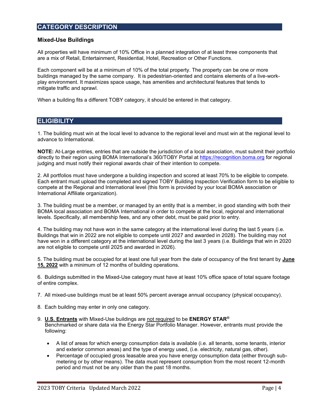### **Mixed-Use Buildings**

All properties will have minimum of 10% Office in a planned integration of at least three components that are a mix of Retail, Entertainment, Residential, Hotel, Recreation or Other Functions.

Each component will be at a minimum of 10% of the total property. The property can be one or more buildings managed by the same company. It is pedestrian-oriented and contains elements of a live-workplay environment. It maximizes space usage, has amenities and architectural features that tends to mitigate traffic and sprawl.

When a building fits a different TOBY category, it should be entered in that category.

### **ELIGIBILITY**

1. The building must win at the local level to advance to the regional level and must win at the regional level to advance to International.

**NOTE:** At-Large entries, entries that are outside the jurisdiction of a local association, must submit their portfolio directly to their region using BOMA International's 360/TOBY Portal at [https://recognition.boma.org](https://recognition.boma.org/) for regional judging and must notify their regional awards chair of their intention to compete.

2. All portfolios must have undergone a building inspection and scored at least 70% to be eligible to compete. Each entrant must upload the completed and signed TOBY Building Inspection Verification form to be eligible to compete at the Regional and International level (this form is provided by your local BOMA association or International Affiliate organization).

3. The building must be a member, or managed by an entity that is a member, in good standing with both their BOMA local association and BOMA International in order to compete at the local, regional and international levels. Specifically, all membership fees, and any other debt, must be paid prior to entry.

4. The building may not have won in the same category at the international level during the last 5 years (i.e. Buildings that win in 2022 are not eligible to compete until 2027 and awarded in 2028). The building may not have won in a different category at the international level during the last 3 years (i.e. Buildings that win in 2020 are not eligible to compete until 2025 and awarded in 2026).

5. The building must be occupied for at least one full year from the date of occupancy of the first tenant by **June 15, 2022** with a minimum of 12 months of building operations.

6. Buildings submitted in the Mixed-Use category must have at least 10% office space of total square footage of entire complex.

- 7. All mixed-use buildings must be at least 50% percent average annual occupancy (physical occupancy).
- 8. Each building may enter in only one category.
- 9. **U.S. Entrants** with Mixed-Use buildings are not required to be **ENERGY STAR®** Benchmarked or share data via the Energy Star Portfolio Manager. However, entrants must provide the following:
	- A list of areas for which energy consumption data is available (i.e. all tenants, some tenants, interior and exterior common areas) and the type of energy used, (i.e. electricity, natural gas, other).
	- Percentage of occupied gross leasable area you have energy consumption data (either through submetering or by other means). The data must represent consumption from the most recent 12-month period and must not be any older than the past 18 months.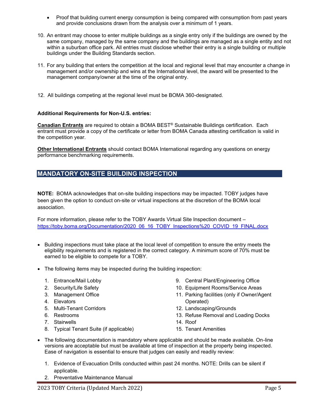- Proof that building current energy consumption is being compared with consumption from past years and provide conclusions drawn from the analysis over a minimum of 1 years.
- 10. An entrant may choose to enter multiple buildings as a single entry only if the buildings are owned by the same company, managed by the same company and the buildings are managed as a single entity and not within a suburban office park. All entries must disclose whether their entry is a single building or multiple buildings under the Building Standards section.
- 11. For any building that enters the competition at the local and regional level that may encounter a change in management and/or ownership and wins at the International level, the award will be presented to the management company/owner at the time of the original entry.
- 12. All buildings competing at the regional level must be BOMA 360-designated.

### **Additional Requirements for Non-U.S. entries:**

**Canadian Entrants** are required to obtain a BOMA BEST® Sustainable Buildings certification. Each entrant must provide a copy of the certificate or letter from BOMA Canada attesting certification is valid in the competition year.

**Other International Entrants** should contact BOMA International regarding any questions on energy performance benchmarking requirements.

### **MANDATORY ON-SITE BUILDING INSPECTION**

**NOTE:** BOMA acknowledges that on-site building inspections may be impacted. TOBY judges have been given the option to conduct on-site or virtual inspections at the discretion of the BOMA local association.

For more information, please refer to the TOBY Awards Virtual Site Inspection document – [https://toby.boma.org/Documentation/2020\\_06\\_16\\_TOBY\\_Inspections%20\\_COVID\\_19\\_FINAL.docx](https://toby.boma.org/Documentation/2020_06_16_TOBY_Inspections%20_COVID_19_FINAL.docx)

- Building inspections must take place at the local level of competition to ensure the entry meets the eligibility requirements and is registered in the correct category. A minimum score of 70% must be earned to be eligible to compete for a TOBY.
- The following items may be inspected during the building inspection:
	- 1. Entrance/Mail Lobby
	- 2. Security/Life Safety
	- 3. Management Office
	- 4. Elevators
	- 5. Multi-Tenant Corridors
	- 6. Restrooms
	- 7. Stairwells
	- 8. Typical Tenant Suite (if applicable)
- 9. Central Plant/Engineering Office
- 10. Equipment Rooms/Service Areas
- 11. Parking facilities (only if Owner/Agent Operated)
- 12. Landscaping/Grounds
- 13. Refuse Removal and Loading Docks
- 14. Roof
- 15. Tenant Amenities
- The following documentation is mandatory where applicable and should be made available. On-line versions are acceptable but must be available at time of inspection at the property being inspected. Ease of navigation is essential to ensure that judges can easily and readily review:
	- 1. Evidence of Evacuation Drills conducted within past 24 months. NOTE: Drills can be silent if applicable.
	- 2. Preventative Maintenance Manual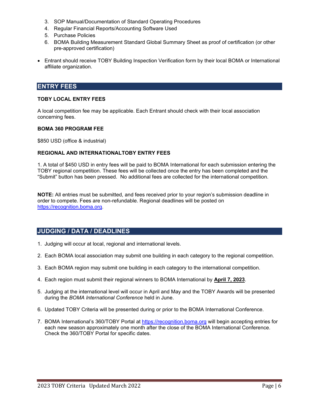- 3. SOP Manual/Documentation of Standard Operating Procedures
- 4. Regular Financial Reports/Accounting Software Used
- 5. Purchase Policies
- 6. BOMA Building Measurement Standard Global Summary Sheet as proof of certification (or other pre-approved certification)
- Entrant should receive TOBY Building Inspection Verification form by their local BOMA or International affiliate organization.

### **ENTRY FEES**

### **TOBY LOCAL ENTRY FEES**

A local competition fee may be applicable. Each Entrant should check with their local association concerning fees.

### **BOMA 360 PROGRAM FEE**

\$850 USD (office & industrial)

### **REGIONAL AND INTERNATIONALTOBY ENTRY FEES**

1. A total of \$450 USD in entry fees will be paid to BOMA International for each submission entering the TOBY regional competition. These fees will be collected once the entry has been completed and the "Submit" button has been pressed. No additional fees are collected for the international competition.

**NOTE:** All entries must be submitted, and fees received prior to your region's submission deadline in order to compete. Fees are non-refundable. Regional deadlines will be posted on [https://recognition.boma.org.](https://recognition.boma.org/)

### **JUDGING / DATA / DEADLINES**

- 1. Judging will occur at local, regional and international levels.
- 2. Each BOMA local association may submit one building in each category to the regional competition.
- 3. Each BOMA region may submit one building in each category to the international competition.
- 4. Each region must submit their regional winners to BOMA International by **April 7, 2023**.
- 5. Judging at the international level will occur in April and May and the TOBY Awards will be presented during the *BOMA International Conference* held in June.
- 6. Updated TOBY Criteria will be presented during or prior to the BOMA International Conference.
- 7. BOMA International's 360/TOBY Portal at [https://recognition.boma.org](https://recognition.boma.org/) will begin accepting entries for each new season approximately one month after the close of the BOMA International Conference. Check the 360/TOBY Portal for specific dates.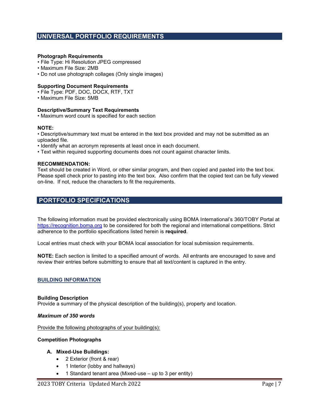### **UNIVERSAL PORTFOLIO REQUIREMENTS**

### **Photograph Requirements**

- File Type: Hi Resolution JPEG compressed
- Maximum File Size: 2MB
- Do not use photograph collages (Only single images)

### **Supporting Document Requirements**

- File Type: PDF, DOC, DOCX, RTF, TXT
- Maximum File Size: 5MB

### **Descriptive/Summary Text Requirements**

• Maximum word count is specified for each section

### **NOTE:**

• Descriptive/summary text must be entered in the text box provided and may not be submitted as an uploaded file.

- Identify what an acronym represents at least once in each document.
- Text within required supporting documents does not count against character limits.

### **RECOMMENDATION:**

Text should be created in Word, or other similar program, and then copied and pasted into the text box. Please spell check prior to pasting into the text box. Also confirm that the copied text can be fully viewed on-line. If not, reduce the characters to fit the requirements.

### **PORTFOLIO SPECIFICATIONS**

The following information must be provided electronically using BOMA International's 360/TOBY Portal at [https://recognition.boma.org](https://recognition.boma.org/) to be considered for both the regional and international competitions. Strict adherence to the portfolio specifications listed herein is **required**.

Local entries must check with your BOMA local association for local submission requirements.

**NOTE:** Each section is limited to a specified amount of words. All entrants are encouraged to save and review their entries before submitting to ensure that all text/content is captured in the entry.

### **BUILDING INFORMATION**

### **Building Description**

Provide a summary of the physical description of the building(s), property and location.

### *Maximum of 350 words*

Provide the following photographs of your building(s):

### **Competition Photographs**

### **A. Mixed-Use Buildings:**

- 2 Exterior (front & rear)
- 1 Interior (lobby and hallways)
- 1 Standard tenant area (Mixed-use up to 3 per entity)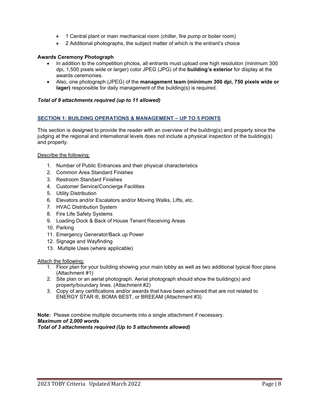- 1 Central plant or main mechanical room (chiller, fire pump or boiler room)
- 2 Additional photographs, the subject matter of which is the entrant's choice

### **Awards Ceremony Photograph**

- In addition to the competition photos, all entrants must upload one high resolution (minimum 300 dpi, 1,500 pixels wide or larger) color JPEG (JPG) of the **building's exterior** for display at the awards ceremonies.
- Also, one photograph (JPEG) of the **management team (minimum 300 dpi, 750 pixels wide or lager)** responsible for daily management of the building(s) is required.

### *Total of 9 attachments required (up to 11 allowed)*

### **SECTION 1: BUILDING OPERATIONS & MANAGEMENT – UP TO 5 POINTS**

This section is designed to provide the reader with an overview of the building(s) and property since the judging at the regional and international levels does not include a physical inspection of the building(s) and property.

### Describe the following:

- 1. Number of Public Entrances and their physical characteristics
- 2. Common Area Standard Finishes
- 3. Restroom Standard Finishes
- 4. Customer Service/Concierge Facilities
- 5. Utility Distribution
- 6. Elevators and/or Escalators and/or Moving Walks, Lifts, etc.
- 7. HVAC Distribution System
- 8. Fire Life Safety Systems
- 9. Loading Dock & Back of House Tenant Receiving Areas
- 10. Parking
- 11. Emergency Generator/Back up Power
- 12. Signage and Wayfinding
- 13. Multiple Uses (where applicable)

### Attach the following:

- 1. Floor plan for your building showing your main lobby as well as two additional typical floor plans (Attachment #1)
- 2. Site plan or an aerial photograph. Aerial photograph should show the building(s) and property/boundary lines. (Attachment #2)
- 3. Copy of any certifications and/or awards that have been achieved that are not related to ENERGY STAR ®, BOMA BEST, or BREEAM (Attachment #3)

**Note:** Please combine multiple documents into a single attachment if necessary. *Maximum of 2,000 words Total of 3 attachments required (Up to 5 attachments allowed)*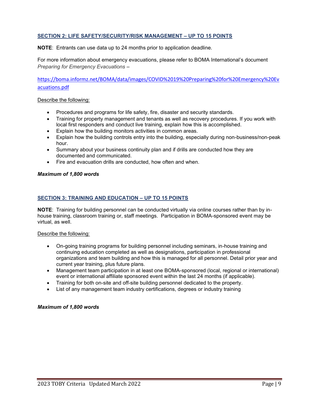### **SECTION 2: LIFE SAFETY/SECURITY/RISK MANAGEMENT – UP TO 15 POINTS**

**NOTE**: Entrants can use data up to 24 months prior to application deadline.

For more information about emergency evacuations, please refer to BOMA International's document *Preparing for Emergency Evacuations –*

[https://boma.informz.net/BOMA/data/images/COVID%2019%20Preparing%20for%20Emergency%20Ev](https://boma.informz.net/BOMA/data/images/COVID%2019%20Preparing%20for%20Emergency%20Evacuations.pdf) [acuations.pd](https://boma.informz.net/BOMA/data/images/COVID%2019%20Preparing%20for%20Emergency%20Evacuations.pdf)f

### Describe the following:

- Procedures and programs for life safety, fire, disaster and security standards.
- Training for property management and tenants as well as recovery procedures. If you work with local first responders and conduct live training, explain how this is accomplished.
- Explain how the building monitors activities in common areas.
- Explain how the building controls entry into the building, especially during non-business/non-peak hour.
- Summary about your business continuity plan and if drills are conducted how they are documented and communicated.
- Fire and evacuation drills are conducted, how often and when.

### *Maximum of 1,800 words*

### **SECTION 3: TRAINING AND EDUCATION – UP TO 15 POINTS**

**NOTE**: Training for building personnel can be conducted virtually via online courses rather than by inhouse training, classroom training or, staff meetings. Participation in BOMA-sponsored event may be virtual, as well.

### Describe the following:

- On-going training programs for building personnel including seminars, in-house training and continuing education completed as well as designations, participation in professional organizations and team building and how this is managed for all personnel. Detail prior year and current year training, plus future plans.
- Management team participation in at least one BOMA-sponsored (local, regional or international) event or international affiliate sponsored event within the last 24 months (if applicable).
- Training for both on-site and off-site building personnel dedicated to the property.
- List of any management team industry certifications, degrees or industry training

### *Maximum of 1,800 words*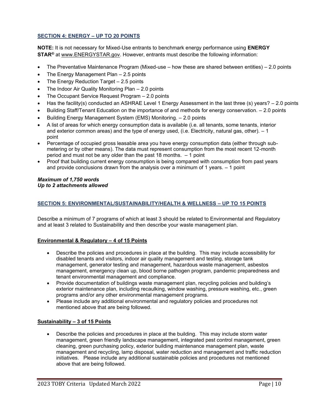### **SECTION 4: ENERGY – UP TO 20 POINTS**

**NOTE:** It is not necessary for Mixed-Use entrants to benchmark energy performance using **ENERGY STAR®** at www.ENERGYSTAR.gov. However, entrants must describe the following information:

- The Preventative Maintenance Program (Mixed-use how these are shared between entities) 2.0 points
- The Energy Management Plan  $-2.5$  points
- The Energy Reduction Target  $-2.5$  points
- The Indoor Air Quality Monitoring Plan 2.0 points
- The Occupant Service Request Program 2.0 points
- Has the facility(s) conducted an ASHRAE Level 1 Energy Assessment in the last three (s) years? 2.0 points
- Building Staff/Tenant Education on the importance of and methods for energy conservation. 2.0 points
- Building Energy Management System (EMS) Monitoring. 2.0 points
- A list of areas for which energy consumption data is available (i.e. all tenants, some tenants, interior and exterior common areas) and the type of energy used, (i.e. Electricity, natural gas, other). – 1 point
- Percentage of occupied gross leasable area you have energy consumption data (either through submetering or by other means). The data must represent consumption from the most recent 12-month period and must not be any older than the past 18 months. – 1 point
- Proof that building current energy consumption is being compared with consumption from past years and provide conclusions drawn from the analysis over a minimum of 1 years. – 1 point

### *Maximum of 1,750 words Up to 2 attachments allowed*

### **SECTION 5: ENVIRONMENTAL/SUSTAINABILITY/HEALTH & WELLNESS – UP TO 15 POINTS**

Describe a minimum of 7 programs of which at least 3 should be related to Environmental and Regulatory and at least 3 related to Sustainability and then describe your waste management plan.

### **Environmental & Regulatory – 4 of 15 Points**

- Describe the policies and procedures in place at the building. This may include accessibility for disabled tenants and visitors, indoor air quality management and testing, storage tank management, generator testing and management, hazardous waste management, asbestos management, emergency clean up, blood borne pathogen program, pandemic preparedness and tenant environmental management and compliance.
- Provide documentation of buildings waste management plan, recycling policies and building's exterior maintenance plan, including recaulking, window washing, pressure washing, etc., green programs and/or any other environmental management programs.
- Please include any additional environmental and regulatory policies and procedures not mentioned above that are being followed.

### **Sustainability – 3 of 15 Points**

• Describe the policies and procedures in place at the building. This may include storm water management, green friendly landscape management, integrated pest control management, green cleaning, green purchasing policy, exterior building maintenance management plan, waste management and recycling, lamp disposal, water reduction and management and traffic reduction initiatives. Please include any additional sustainable policies and procedures not mentioned above that are being followed.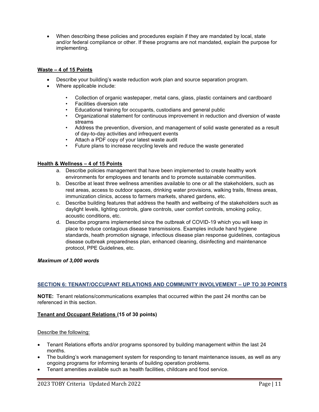• When describing these policies and procedures explain if they are mandated by local, state and/or federal compliance or other. If these programs are not mandated, explain the purpose for implementing.

### **Waste – 4 of 15 Points**

- Describe your building's waste reduction work plan and source separation program.
- Where applicable include:
	- Collection of organic wastepaper, metal cans, glass, plastic containers and cardboard
	- Facilities diversion rate
	- Educational training for occupants, custodians and general public
	- Organizational statement for continuous improvement in reduction and diversion of waste streams
	- Address the prevention, diversion, and management of solid waste generated as a result of day-to-day activities and infrequent events
	- Attach a PDF copy of your latest waste audit
	- Future plans to increase recycling levels and reduce the waste generated

### **Health & Wellness – 4 of 15 Points**

- a. Describe policies management that have been implemented to create healthy work environments for employees and tenants and to promote sustainable communities.
- b. Describe at least three wellness amenities available to one or all the stakeholders, such as rest areas, access to outdoor spaces, drinking water provisions, walking trails, fitness areas, immunization clinics, access to farmers markets, shared gardens, etc.
- c. Describe building features that address the health and wellbeing of the stakeholders such as daylight levels, lighting controls, glare controls, user comfort controls, smoking policy, acoustic conditions, etc.
- d. Describe programs implemented since the outbreak of COVID-19 which you will keep in place to reduce contagious disease transmissions. Examples include hand hygiene standards, heath promotion signage, infectious disease plan response guidelines, contagious disease outbreak preparedness plan, enhanced cleaning, disinfecting and maintenance protocol, PPE Guidelines, etc.

### *Maximum of 3,000 words*

### **SECTION 6: TENANT/OCCUPANT RELATIONS AND COMMUNITY INVOLVEMENT – UP TO 30 POINTS**

**NOTE:** Tenant relations/communications examples that occurred within the past 24 months can be referenced in this section.

### **Tenant and Occupant Relations (15 of 30 points)**

### Describe the following:

- Tenant Relations efforts and/or programs sponsored by building management within the last 24 months.
- The building's work management system for responding to tenant maintenance issues, as well as any ongoing programs for informing tenants of building operation problems.
- Tenant amenities available such as health facilities, childcare and food service.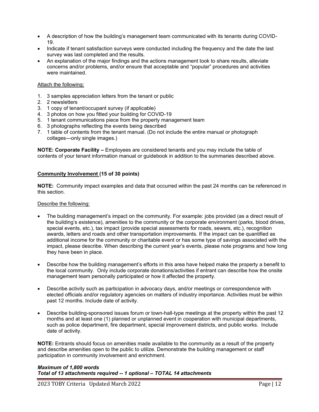- A description of how the building's management team communicated with its tenants during COVID-19.
- Indicate if tenant satisfaction surveys were conducted including the frequency and the date the last survey was last completed and the results.
- An explanation of the major findings and the actions management took to share results, alleviate concerns and/or problems, and/or ensure that acceptable and "popular" procedures and activities were maintained.

### Attach the following:

- 1. 3 samples appreciation letters from the tenant or public
- 2. 2 newsletters
- 3. 1 copy of tenant/occupant survey (if applicable)
- 4. 3 photos on how you fitted your building for COVID-19
- 5. 1 tenant communications piece from the property management team
- 6. 3 photographs reflecting the events being described
- 7. 1 table of contents from the tenant manual. (Do not include the entire manual or photograph collages—only single images.)

**NOTE: Corporate Facility –** Employees are considered tenants and you may include the table of contents of your tenant information manual or guidebook in addition to the summaries described above.

### **Community Involvement (15 of 30 points)**

**NOTE:** Community impact examples and data that occurred within the past 24 months can be referenced in this section.

### Describe the following:

- The building management's impact on the community. For example: jobs provided (as a direct result of the building's existence), amenities to the community or the corporate environment (parks, blood drives, special events, etc.), tax impact (provide special assessments for roads, sewers, etc.), recognition awards, letters and roads and other transportation improvements. If the impact can be quantified as additional income for the community or charitable event or has some type of savings associated with the impact, please describe. When describing the current year's events, please note programs and how long they have been in place.
- Describe how the building management's efforts in this area have helped make the property a benefit to the local community. Only include corporate donations/activities if entrant can describe how the onsite management team personally participated or how it affected the property.
- Describe activity such as participation in advocacy days, and/or meetings or correspondence with elected officials and/or regulatory agencies on matters of industry importance. Activities must be within past 12 months. Include date of activity.
- Describe building-sponsored issues forum or town-hall-type meetings at the property within the past 12 months and at least one (1) planned or unplanned event in cooperation with municipal departments, such as police department, fire department, special improvement districts, and public works. Include date of activity.

**NOTE:** Entrants should focus on amenities made available to the community as a result of the property and describe amenities open to the public to utilize. Demonstrate the building management or staff participation in community involvement and enrichment.

### *Maximum of 1,800 words Total of 13 attachments required -- 1 optional – TOTAL 14 attachments*